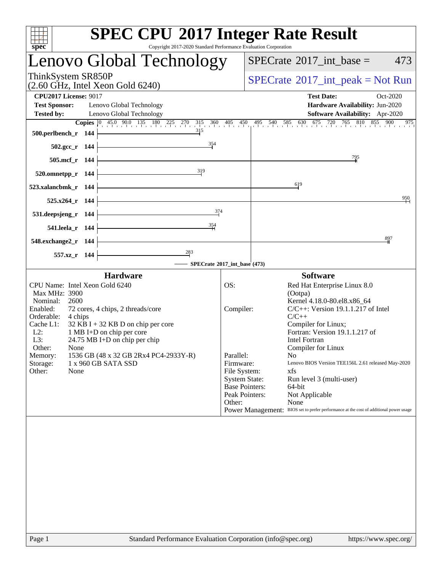| <b>SPEC CPU®2017 Integer Rate Result</b><br>Copyright 2017-2020 Standard Performance Evaluation Corporation<br>spec <sup>®</sup>                                                                                                                                                                                                                                                                                                          |                                                                                              |                                                                                                                                                                                                                                                                                                                                                                                                                                                                                                                                          |
|-------------------------------------------------------------------------------------------------------------------------------------------------------------------------------------------------------------------------------------------------------------------------------------------------------------------------------------------------------------------------------------------------------------------------------------------|----------------------------------------------------------------------------------------------|------------------------------------------------------------------------------------------------------------------------------------------------------------------------------------------------------------------------------------------------------------------------------------------------------------------------------------------------------------------------------------------------------------------------------------------------------------------------------------------------------------------------------------------|
| Lenovo Global Technology                                                                                                                                                                                                                                                                                                                                                                                                                  | $SPECTate$ <sup>®</sup> 2017_int_base =<br>473                                               |                                                                                                                                                                                                                                                                                                                                                                                                                                                                                                                                          |
| ThinkSystem SR850P<br>$(2.60 \text{ GHz}, \text{Intel Xeon Gold } 6240)$                                                                                                                                                                                                                                                                                                                                                                  | $SPECrate^{\circledast}2017\_int\_peak = Not Run$                                            |                                                                                                                                                                                                                                                                                                                                                                                                                                                                                                                                          |
| <b>CPU2017 License: 9017</b><br><b>Test Sponsor:</b><br>Lenovo Global Technology<br>Lenovo Global Technology<br><b>Tested by:</b><br>315<br>500.perlbench_r 144                                                                                                                                                                                                                                                                           |                                                                                              | <b>Test Date:</b><br>Oct-2020<br>Hardware Availability: Jun-2020<br>Software Availability: Apr-2020<br><b>Copies</b> $\begin{bmatrix} 0 & 45.0 & 90.0 & 135 & 180 & 225 & 270 & 315 & 360 & 405 & 450 & 495 & 540 & 585 & 630 & 675 & 720 & 765 & 810 & 855 & 900 \end{bmatrix}$<br>.975                                                                                                                                                                                                                                                 |
| 354<br>$502.\text{gcc}_r$ 144                                                                                                                                                                                                                                                                                                                                                                                                             |                                                                                              |                                                                                                                                                                                                                                                                                                                                                                                                                                                                                                                                          |
| 505.mcf_r 144                                                                                                                                                                                                                                                                                                                                                                                                                             |                                                                                              | $\frac{795}{9}$                                                                                                                                                                                                                                                                                                                                                                                                                                                                                                                          |
| 319<br>520.omnetpp_r 144                                                                                                                                                                                                                                                                                                                                                                                                                  |                                                                                              |                                                                                                                                                                                                                                                                                                                                                                                                                                                                                                                                          |
| 523.xalancbmk_r 144                                                                                                                                                                                                                                                                                                                                                                                                                       |                                                                                              | $\frac{619}{2}$                                                                                                                                                                                                                                                                                                                                                                                                                                                                                                                          |
| $525.x264_r$ 144<br>374                                                                                                                                                                                                                                                                                                                                                                                                                   |                                                                                              | 950                                                                                                                                                                                                                                                                                                                                                                                                                                                                                                                                      |
| 531.deepsjeng_r 144<br>354<br>541.leela_r 144                                                                                                                                                                                                                                                                                                                                                                                             |                                                                                              |                                                                                                                                                                                                                                                                                                                                                                                                                                                                                                                                          |
| 548.exchange2_r 144                                                                                                                                                                                                                                                                                                                                                                                                                       |                                                                                              | 897                                                                                                                                                                                                                                                                                                                                                                                                                                                                                                                                      |
| 283<br>557.xz_r 144                                                                                                                                                                                                                                                                                                                                                                                                                       |                                                                                              |                                                                                                                                                                                                                                                                                                                                                                                                                                                                                                                                          |
| - SPECrate®2017_int_base (473)                                                                                                                                                                                                                                                                                                                                                                                                            |                                                                                              |                                                                                                                                                                                                                                                                                                                                                                                                                                                                                                                                          |
| <b>Hardware</b><br>CPU Name: Intel Xeon Gold 6240<br>Max MHz: 3900<br>Nominal:<br>2600<br>Enabled:<br>72 cores, 4 chips, 2 threads/core<br>Orderable:<br>4 chips<br>Cache L1:<br>$32$ KB I + 32 KB D on chip per core<br>$L2$ :<br>1 MB I+D on chip per core<br>L3:<br>$24.75 \text{ MB I+D}$ on chip per chip<br>Other:<br>None<br>1536 GB (48 x 32 GB 2Rx4 PC4-2933Y-R)<br>Memory:<br>Storage:<br>1 x 960 GB SATA SSD<br>Other:<br>None | OS:<br>Compiler:<br>Parallel:<br>Firmware:<br>File System:<br><b>System State:</b><br>Other: | <b>Software</b><br>Red Hat Enterprise Linux 8.0<br>(Ootpa)<br>Kernel 4.18.0-80.el8.x86_64<br>$C/C++$ : Version 19.1.1.217 of Intel<br>$C/C++$<br>Compiler for Linux;<br>Fortran: Version 19.1.1.217 of<br><b>Intel Fortran</b><br>Compiler for Linux<br>N <sub>0</sub><br>Lenovo BIOS Version TEE156L 2.61 released May-2020<br>xfs<br>Run level 3 (multi-user)<br><b>Base Pointers:</b><br>64-bit<br>Peak Pointers:<br>Not Applicable<br>None<br>Power Management: BIOS set to prefer performance at the cost of additional power usage |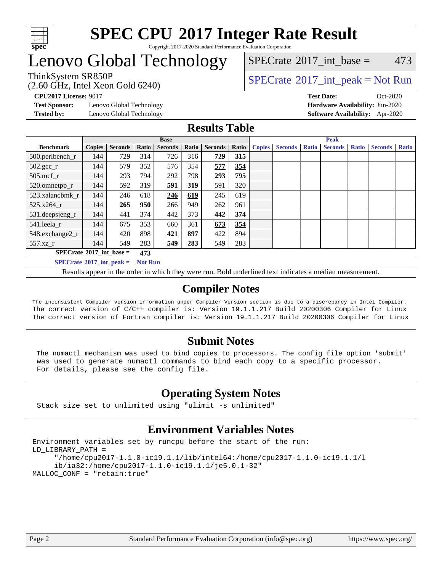

#### **[SPEC CPU](http://www.spec.org/auto/cpu2017/Docs/result-fields.html#SPECCPU2017IntegerRateResult)[2017 Integer Rate Result](http://www.spec.org/auto/cpu2017/Docs/result-fields.html#SPECCPU2017IntegerRateResult)** Copyright 2017-2020 Standard Performance Evaluation Corporation

## Lenovo Global Technology

ThinkSystem SR850P<br>  $\begin{array}{c}\n\text{SPECTI} \\
\text{SPECTI} \\
\text{SPECTI} \\
\text{SPECTI} \\
\text{SPECTI} \\
\text{SPECTI} \\
\text{SPECTI} \\
\text{SPECTI} \\
\text{SPECTI} \\
\text{SPECTI} \\
\text{SPECTI} \\
\text{SPECTI} \\
\text{SPECTI} \\
\text{SPECTI} \\
\text{S OF} \\
\text{S OF} \\
\text{S OF} \\
\text{S OF} \\
\text{S OF} \\
\text{S OF} \\
\text{S OF} \\
\text{S OF} \\
\text{S OF} \\
\text{S OF} \\
\text{S OF} \\
\text{$ 

 $SPECTate$ <sup>®</sup>[2017\\_int\\_base =](http://www.spec.org/auto/cpu2017/Docs/result-fields.html#SPECrate2017intbase) 473

(2.60 GHz, Intel Xeon Gold 6240)

**[Test Sponsor:](http://www.spec.org/auto/cpu2017/Docs/result-fields.html#TestSponsor)** Lenovo Global Technology **[Hardware Availability:](http://www.spec.org/auto/cpu2017/Docs/result-fields.html#HardwareAvailability)** Jun-2020 **[Tested by:](http://www.spec.org/auto/cpu2017/Docs/result-fields.html#Testedby)** Lenovo Global Technology **[Software Availability:](http://www.spec.org/auto/cpu2017/Docs/result-fields.html#SoftwareAvailability)** Apr-2020

**[CPU2017 License:](http://www.spec.org/auto/cpu2017/Docs/result-fields.html#CPU2017License)** 9017 **[Test Date:](http://www.spec.org/auto/cpu2017/Docs/result-fields.html#TestDate)** Oct-2020

### **[Results Table](http://www.spec.org/auto/cpu2017/Docs/result-fields.html#ResultsTable)**

|                                          | <b>Base</b>   |                |       |                |       | <b>Peak</b>    |       |               |                |              |                |              |                |              |
|------------------------------------------|---------------|----------------|-------|----------------|-------|----------------|-------|---------------|----------------|--------------|----------------|--------------|----------------|--------------|
| <b>Benchmark</b>                         | <b>Copies</b> | <b>Seconds</b> | Ratio | <b>Seconds</b> | Ratio | <b>Seconds</b> | Ratio | <b>Copies</b> | <b>Seconds</b> | <b>Ratio</b> | <b>Seconds</b> | <b>Ratio</b> | <b>Seconds</b> | <b>Ratio</b> |
| 500.perlbench_r                          | 144           | 729            | 314   | 726            | 316   | 729            | 315   |               |                |              |                |              |                |              |
| $502.\text{gcc}_r$                       | 144           | 579            | 352   | 576            | 354   | 577            | 354   |               |                |              |                |              |                |              |
| $505$ .mcf r                             | 144           | 293            | 794   | 292            | 798   | 293            | 795   |               |                |              |                |              |                |              |
| 520.omnetpp_r                            | 144           | 592            | 319   | 591            | 319   | 591            | 320   |               |                |              |                |              |                |              |
| 523.xalancbmk_r                          | 144           | 246            | 618   | 246            | 619   | 245            | 619   |               |                |              |                |              |                |              |
| 525.x264 r                               | 144           | 265            | 950   | 266            | 949   | 262            | 961   |               |                |              |                |              |                |              |
| 531.deepsjeng_r                          | 144           | 441            | 374   | 442            | 373   | 442            | 374   |               |                |              |                |              |                |              |
| 541.leela r                              | 144           | 675            | 353   | 660            | 361   | 673            | 354   |               |                |              |                |              |                |              |
| 548.exchange2_r                          | 144           | 420            | 898   | 421            | 897   | 422            | 894   |               |                |              |                |              |                |              |
| 557.xz r                                 | 144           | 549            | 283   | 549            | 283   | 549            | 283   |               |                |              |                |              |                |              |
| $SPECrate^{\circ}2017$ int base =<br>473 |               |                |       |                |       |                |       |               |                |              |                |              |                |              |
| $SPECrate^{\circ}2017$ int peak =        |               |                |       | <b>Not Run</b> |       |                |       |               |                |              |                |              |                |              |

Results appear in the [order in which they were run](http://www.spec.org/auto/cpu2017/Docs/result-fields.html#RunOrder). Bold underlined text [indicates a median measurement](http://www.spec.org/auto/cpu2017/Docs/result-fields.html#Median).

## **[Compiler Notes](http://www.spec.org/auto/cpu2017/Docs/result-fields.html#CompilerNotes)**

The inconsistent Compiler version information under Compiler Version section is due to a discrepancy in Intel Compiler. The correct version of C/C++ compiler is: Version 19.1.1.217 Build 20200306 Compiler for Linux The correct version of Fortran compiler is: Version 19.1.1.217 Build 20200306 Compiler for Linux

## **[Submit Notes](http://www.spec.org/auto/cpu2017/Docs/result-fields.html#SubmitNotes)**

 The numactl mechanism was used to bind copies to processors. The config file option 'submit' was used to generate numactl commands to bind each copy to a specific processor. For details, please see the config file.

## **[Operating System Notes](http://www.spec.org/auto/cpu2017/Docs/result-fields.html#OperatingSystemNotes)**

Stack size set to unlimited using "ulimit -s unlimited"

## **[Environment Variables Notes](http://www.spec.org/auto/cpu2017/Docs/result-fields.html#EnvironmentVariablesNotes)**

```
Environment variables set by runcpu before the start of the run:
LD_LIBRARY_PATH =
      "/home/cpu2017-1.1.0-ic19.1.1/lib/intel64:/home/cpu2017-1.1.0-ic19.1.1/l
      ib/ia32:/home/cpu2017-1.1.0-ic19.1.1/je5.0.1-32"
MALLOC_CONF = "retain:true"
```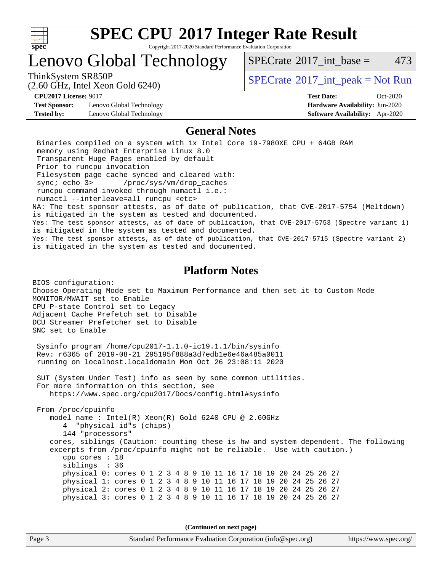

Copyright 2017-2020 Standard Performance Evaluation Corporation

## Lenovo Global Technology

 $SPECTate^{\circ}2017$  int base = 473

(2.60 GHz, Intel Xeon Gold 6240)

ThinkSystem SR850P<br>  $\begin{array}{c}\n\text{SPECTI}_2 \text{ Intel } \text{Y}_2 \text{ son } \text{Cold } \text{6240}\n\end{array}$  [SPECrate](http://www.spec.org/auto/cpu2017/Docs/result-fields.html#SPECrate2017intpeak)®[2017\\_int\\_peak = N](http://www.spec.org/auto/cpu2017/Docs/result-fields.html#SPECrate2017intpeak)ot Run

**[Test Sponsor:](http://www.spec.org/auto/cpu2017/Docs/result-fields.html#TestSponsor)** Lenovo Global Technology **[Hardware Availability:](http://www.spec.org/auto/cpu2017/Docs/result-fields.html#HardwareAvailability)** Jun-2020 **[Tested by:](http://www.spec.org/auto/cpu2017/Docs/result-fields.html#Testedby)** Lenovo Global Technology **[Software Availability:](http://www.spec.org/auto/cpu2017/Docs/result-fields.html#SoftwareAvailability)** Apr-2020

**[CPU2017 License:](http://www.spec.org/auto/cpu2017/Docs/result-fields.html#CPU2017License)** 9017 **[Test Date:](http://www.spec.org/auto/cpu2017/Docs/result-fields.html#TestDate)** Oct-2020

#### **[General Notes](http://www.spec.org/auto/cpu2017/Docs/result-fields.html#GeneralNotes)**

 Binaries compiled on a system with 1x Intel Core i9-7980XE CPU + 64GB RAM memory using Redhat Enterprise Linux 8.0 Transparent Huge Pages enabled by default Prior to runcpu invocation Filesystem page cache synced and cleared with: sync; echo 3> /proc/sys/vm/drop\_caches runcpu command invoked through numactl i.e.: numactl --interleave=all runcpu <etc> NA: The test sponsor attests, as of date of publication, that CVE-2017-5754 (Meltdown) is mitigated in the system as tested and documented. Yes: The test sponsor attests, as of date of publication, that CVE-2017-5753 (Spectre variant 1) is mitigated in the system as tested and documented. Yes: The test sponsor attests, as of date of publication, that CVE-2017-5715 (Spectre variant 2) is mitigated in the system as tested and documented.

### **[Platform Notes](http://www.spec.org/auto/cpu2017/Docs/result-fields.html#PlatformNotes)**

BIOS configuration: Choose Operating Mode set to Maximum Performance and then set it to Custom Mode MONITOR/MWAIT set to Enable CPU P-state Control set to Legacy Adjacent Cache Prefetch set to Disable DCU Streamer Prefetcher set to Disable SNC set to Enable

 Sysinfo program /home/cpu2017-1.1.0-ic19.1.1/bin/sysinfo Rev: r6365 of 2019-08-21 295195f888a3d7edb1e6e46a485a0011 running on localhost.localdomain Mon Oct 26 23:08:11 2020

 SUT (System Under Test) info as seen by some common utilities. For more information on this section, see <https://www.spec.org/cpu2017/Docs/config.html#sysinfo>

 From /proc/cpuinfo model name : Intel(R) Xeon(R) Gold 6240 CPU @ 2.60GHz 4 "physical id"s (chips) 144 "processors" cores, siblings (Caution: counting these is hw and system dependent. The following excerpts from /proc/cpuinfo might not be reliable. Use with caution.) cpu cores : 18 siblings : 36 physical 0: cores 0 1 2 3 4 8 9 10 11 16 17 18 19 20 24 25 26 27 physical 1: cores 0 1 2 3 4 8 9 10 11 16 17 18 19 20 24 25 26 27 physical 2: cores 0 1 2 3 4 8 9 10 11 16 17 18 19 20 24 25 26 27 physical 3: cores 0 1 2 3 4 8 9 10 11 16 17 18 19 20 24 25 26 27

**(Continued on next page)**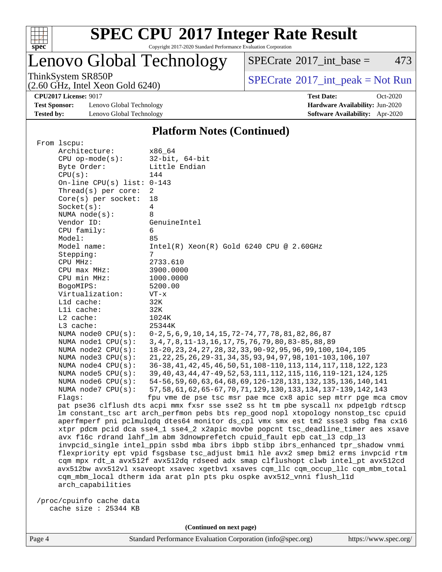

Copyright 2017-2020 Standard Performance Evaluation Corporation

## Lenovo Global Technology

 $SPECTate$ <sup>®</sup>[2017\\_int\\_base =](http://www.spec.org/auto/cpu2017/Docs/result-fields.html#SPECrate2017intbase) 473

(2.60 GHz, Intel Xeon Gold 6240)

ThinkSystem SR850P<br>  $(2.60 \text{ GHz, Intel Yoon Gold } 6240)$  [SPECrate](http://www.spec.org/auto/cpu2017/Docs/result-fields.html#SPECrate2017intpeak)®[2017\\_int\\_peak = N](http://www.spec.org/auto/cpu2017/Docs/result-fields.html#SPECrate2017intpeak)ot Run

**[CPU2017 License:](http://www.spec.org/auto/cpu2017/Docs/result-fields.html#CPU2017License)** 9017 **[Test Date:](http://www.spec.org/auto/cpu2017/Docs/result-fields.html#TestDate)** Oct-2020

**[Test Sponsor:](http://www.spec.org/auto/cpu2017/Docs/result-fields.html#TestSponsor)** Lenovo Global Technology **[Hardware Availability:](http://www.spec.org/auto/cpu2017/Docs/result-fields.html#HardwareAvailability)** Jun-2020 **[Tested by:](http://www.spec.org/auto/cpu2017/Docs/result-fields.html#Testedby)** Lenovo Global Technology **[Software Availability:](http://www.spec.org/auto/cpu2017/Docs/result-fields.html#SoftwareAvailability)** Apr-2020

#### **[Platform Notes \(Continued\)](http://www.spec.org/auto/cpu2017/Docs/result-fields.html#PlatformNotes)**

| From lscpu:                                                                          |                                                                                    |  |  |  |  |  |
|--------------------------------------------------------------------------------------|------------------------------------------------------------------------------------|--|--|--|--|--|
| Architecture:                                                                        | x86 64                                                                             |  |  |  |  |  |
| $CPU$ op-mode( $s$ ):                                                                | $32$ -bit, $64$ -bit                                                               |  |  |  |  |  |
| Byte Order:                                                                          | Little Endian                                                                      |  |  |  |  |  |
| CPU(s):                                                                              | 144                                                                                |  |  |  |  |  |
| On-line CPU(s) list: $0-143$                                                         |                                                                                    |  |  |  |  |  |
| Thread(s) per core:                                                                  | 2                                                                                  |  |  |  |  |  |
| Core(s) per socket:                                                                  | 18                                                                                 |  |  |  |  |  |
| Socket(s):                                                                           | 4                                                                                  |  |  |  |  |  |
| NUMA $node(s):$                                                                      | 8                                                                                  |  |  |  |  |  |
| Vendor ID:                                                                           | GenuineIntel                                                                       |  |  |  |  |  |
| CPU family:                                                                          | 6                                                                                  |  |  |  |  |  |
| Model:                                                                               | 85                                                                                 |  |  |  |  |  |
| Model name:                                                                          | $Intel(R) Xeon(R) Gold 6240 CPU @ 2.60GHz$                                         |  |  |  |  |  |
| Stepping:                                                                            | 7                                                                                  |  |  |  |  |  |
| CPU MHz:                                                                             | 2733.610                                                                           |  |  |  |  |  |
| CPU max MHz:                                                                         | 3900.0000                                                                          |  |  |  |  |  |
| CPU min MHz:                                                                         | 1000.0000                                                                          |  |  |  |  |  |
| BogoMIPS:                                                                            | 5200.00                                                                            |  |  |  |  |  |
| Virtualization:                                                                      | $VT - x$                                                                           |  |  |  |  |  |
| L1d cache:                                                                           | 32K                                                                                |  |  |  |  |  |
| Lli cache:                                                                           | 32K                                                                                |  |  |  |  |  |
| L2 cache:                                                                            | 1024K                                                                              |  |  |  |  |  |
| L3 cache:                                                                            | 25344K                                                                             |  |  |  |  |  |
| NUMA node0 CPU(s):                                                                   | $0-2, 5, 6, 9, 10, 14, 15, 72-74, 77, 78, 81, 82, 86, 87$                          |  |  |  |  |  |
| NUMA nodel CPU(s):                                                                   | 3, 4, 7, 8, 11-13, 16, 17, 75, 76, 79, 80, 83-85, 88, 89                           |  |  |  |  |  |
| NUMA $node2$ $CPU(s):$                                                               | 18-20, 23, 24, 27, 28, 32, 33, 90-92, 95, 96, 99, 100, 104, 105                    |  |  |  |  |  |
| NUMA $node3$ CPU $(s)$ :                                                             | 21, 22, 25, 26, 29-31, 34, 35, 93, 94, 97, 98, 101-103, 106, 107                   |  |  |  |  |  |
| NUMA $node4$ CPU $(s)$ :                                                             | 36-38, 41, 42, 45, 46, 50, 51, 108-110, 113, 114, 117, 118, 122, 123               |  |  |  |  |  |
| NUMA $node5$ $CPU(s):$                                                               | 39, 40, 43, 44, 47-49, 52, 53, 111, 112, 115, 116, 119-121, 124, 125               |  |  |  |  |  |
| NUMA node6 CPU(s):                                                                   | 54-56, 59, 60, 63, 64, 68, 69, 126-128, 131, 132, 135, 136, 140, 141               |  |  |  |  |  |
| NUMA node7 CPU(s):                                                                   | 57, 58, 61, 62, 65-67, 70, 71, 129, 130, 133, 134, 137-139, 142, 143               |  |  |  |  |  |
| Flags:                                                                               | fpu vme de pse tsc msr pae mce cx8 apic sep mtrr pge mca cmov                      |  |  |  |  |  |
| pat pse36 clflush dts acpi mmx fxsr sse sse2 ss ht tm pbe syscall nx pdpelgb rdtscp  |                                                                                    |  |  |  |  |  |
| lm constant_tsc art arch_perfmon pebs bts rep_good nopl xtopology nonstop_tsc cpuid  |                                                                                    |  |  |  |  |  |
|                                                                                      | aperfmperf pni pclmulqdq dtes64 monitor ds_cpl vmx smx est tm2 ssse3 sdbg fma cx16 |  |  |  |  |  |
|                                                                                      | xtpr pdcm pcid dca sse4_1 sse4_2 x2apic movbe popcnt tsc_deadline_timer aes xsave  |  |  |  |  |  |
| avx f16c rdrand lahf_lm abm 3dnowprefetch cpuid_fault epb cat_13 cdp_13              |                                                                                    |  |  |  |  |  |
|                                                                                      | invpcid_single intel_ppin ssbd mba ibrs ibpb stibp ibrs_enhanced tpr_shadow vnmi   |  |  |  |  |  |
| flexpriority ept vpid fsgsbase tsc_adjust bmil hle avx2 smep bmi2 erms invpcid rtm   |                                                                                    |  |  |  |  |  |
|                                                                                      | cqm mpx rdt_a avx512f avx512dq rdseed adx smap clflushopt clwb intel_pt avx512cd   |  |  |  |  |  |
| avx512bw avx512vl xsaveopt xsavec xgetbvl xsaves cqm_llc cqm_occup_llc cqm_mbm_total |                                                                                    |  |  |  |  |  |
| cqm_mbm_local dtherm ida arat pln pts pku ospke avx512_vnni flush_l1d                |                                                                                    |  |  |  |  |  |
| arch capabilities                                                                    |                                                                                    |  |  |  |  |  |
|                                                                                      |                                                                                    |  |  |  |  |  |
| /proc/cpuinfo cache data                                                             |                                                                                    |  |  |  |  |  |
| cache size : 25344 KB                                                                |                                                                                    |  |  |  |  |  |
|                                                                                      |                                                                                    |  |  |  |  |  |

Page 4 Standard Performance Evaluation Corporation [\(info@spec.org\)](mailto:info@spec.org) <https://www.spec.org/>

**(Continued on next page)**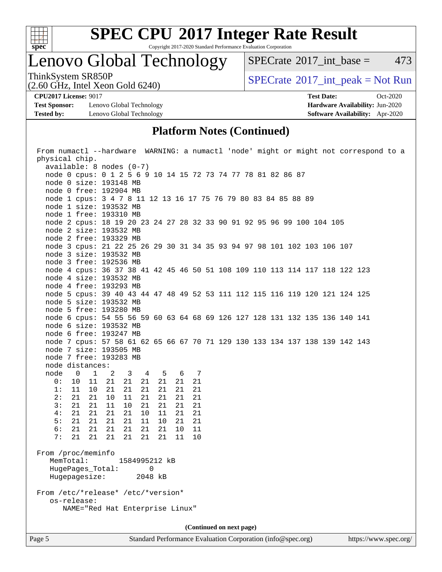

Copyright 2017-2020 Standard Performance Evaluation Corporation

## Lenovo Global Technology

 $SPECTate$ <sup>®</sup>[2017\\_int\\_base =](http://www.spec.org/auto/cpu2017/Docs/result-fields.html#SPECrate2017intbase) 473

(2.60 GHz, Intel Xeon Gold 6240)

ThinkSystem SR850P<br>  $(2.60 \text{ GHz})$  Intel Xeon Gold 6240)

**[Test Sponsor:](http://www.spec.org/auto/cpu2017/Docs/result-fields.html#TestSponsor)** Lenovo Global Technology **[Hardware Availability:](http://www.spec.org/auto/cpu2017/Docs/result-fields.html#HardwareAvailability)** Jun-2020 **[Tested by:](http://www.spec.org/auto/cpu2017/Docs/result-fields.html#Testedby)** Lenovo Global Technology **[Software Availability:](http://www.spec.org/auto/cpu2017/Docs/result-fields.html#SoftwareAvailability)** Apr-2020

**[CPU2017 License:](http://www.spec.org/auto/cpu2017/Docs/result-fields.html#CPU2017License)** 9017 **[Test Date:](http://www.spec.org/auto/cpu2017/Docs/result-fields.html#TestDate)** Oct-2020

### **[Platform Notes \(Continued\)](http://www.spec.org/auto/cpu2017/Docs/result-fields.html#PlatformNotes)**

|                                                   |                                     |          |                                                                             | From numactl --hardware WARNING: a numactl 'node' might or might not correspond to a |  |  |  |
|---------------------------------------------------|-------------------------------------|----------|-----------------------------------------------------------------------------|--------------------------------------------------------------------------------------|--|--|--|
| physical chip.                                    |                                     |          |                                                                             |                                                                                      |  |  |  |
| $available: 8 nodes (0-7)$                        |                                     |          |                                                                             |                                                                                      |  |  |  |
|                                                   |                                     |          | node 0 cpus: 0 1 2 5 6 9 10 14 15 72 73 74 77 78 81 82 86 87                |                                                                                      |  |  |  |
| node 0 size: 193148 MB                            |                                     |          |                                                                             |                                                                                      |  |  |  |
| node 0 free: 192904 MB                            |                                     |          |                                                                             |                                                                                      |  |  |  |
|                                                   |                                     |          | node 1 cpus: 3 4 7 8 11 12 13 16 17 75 76 79 80 83 84 85 88 89              |                                                                                      |  |  |  |
| node 1 size: 193532 MB                            |                                     |          |                                                                             |                                                                                      |  |  |  |
| node 1 free: 193310 MB                            |                                     |          |                                                                             |                                                                                      |  |  |  |
|                                                   |                                     |          | node 2 cpus: 18 19 20 23 24 27 28 32 33 90 91 92 95 96 99 100 104 105       |                                                                                      |  |  |  |
| node 2 size: 193532 MB                            |                                     |          |                                                                             |                                                                                      |  |  |  |
| node 2 free: 193329 MB                            |                                     |          |                                                                             |                                                                                      |  |  |  |
|                                                   |                                     |          | node 3 cpus: 21 22 25 26 29 30 31 34 35 93 94 97 98 101 102 103 106 107     |                                                                                      |  |  |  |
| node 3 size: 193532 MB                            |                                     |          |                                                                             |                                                                                      |  |  |  |
| node 3 free: 192536 MB                            |                                     |          |                                                                             |                                                                                      |  |  |  |
|                                                   |                                     |          | node 4 cpus: 36 37 38 41 42 45 46 50 51 108 109 110 113 114 117 118 122 123 |                                                                                      |  |  |  |
| node 4 size: 193532 MB                            |                                     |          |                                                                             |                                                                                      |  |  |  |
| node 4 free: 193293 MB                            |                                     |          |                                                                             |                                                                                      |  |  |  |
|                                                   |                                     |          | node 5 cpus: 39 40 43 44 47 48 49 52 53 111 112 115 116 119 120 121 124 125 |                                                                                      |  |  |  |
| node 5 size: 193532 MB                            |                                     |          |                                                                             |                                                                                      |  |  |  |
| node 5 free: 193280 MB                            |                                     |          |                                                                             |                                                                                      |  |  |  |
|                                                   |                                     |          | node 6 cpus: 54 55 56 59 60 63 64 68 69 126 127 128 131 132 135 136 140 141 |                                                                                      |  |  |  |
| node 6 size: 193532 MB                            |                                     |          |                                                                             |                                                                                      |  |  |  |
| node 6 free: 193247 MB                            |                                     |          |                                                                             |                                                                                      |  |  |  |
|                                                   |                                     |          | node 7 cpus: 57 58 61 62 65 66 67 70 71 129 130 133 134 137 138 139 142 143 |                                                                                      |  |  |  |
| node 7 size: 193505 MB                            |                                     |          |                                                                             |                                                                                      |  |  |  |
| node 7 free: 193283 MB                            |                                     |          |                                                                             |                                                                                      |  |  |  |
| node distances:                                   |                                     |          |                                                                             |                                                                                      |  |  |  |
| node 0<br>$\overline{1}$                          | 3 4 5<br>$\overline{\phantom{a}}^2$ | 6 7      |                                                                             |                                                                                      |  |  |  |
| 0:<br>10<br>11                                    | 21<br>21<br>21 21                   | 21<br>21 |                                                                             |                                                                                      |  |  |  |
| 1:<br>11<br>10                                    | 21<br>21<br>21<br>21                | 21<br>21 |                                                                             |                                                                                      |  |  |  |
| 2:<br>21<br>21                                    | 10<br>11<br>21<br>21                | 21<br>21 |                                                                             |                                                                                      |  |  |  |
| 21<br>3:<br>21                                    | 11<br>10<br>21<br>21                | 21<br>21 |                                                                             |                                                                                      |  |  |  |
| 4:<br>21<br>21                                    | 21<br>21<br>10<br>11                | 21<br>21 |                                                                             |                                                                                      |  |  |  |
| 5:<br>21<br>21                                    | 21<br>10<br>21<br>11                | 21<br>21 |                                                                             |                                                                                      |  |  |  |
| 6:<br>21<br>21                                    | 21<br>21<br>21<br>21                | 11<br>10 |                                                                             |                                                                                      |  |  |  |
| 7:<br>21<br>21                                    | 21<br>21<br>21 21                   | 11<br>10 |                                                                             |                                                                                      |  |  |  |
|                                                   |                                     |          |                                                                             |                                                                                      |  |  |  |
| From /proc/meminfo<br>MemTotal:                   |                                     |          |                                                                             |                                                                                      |  |  |  |
|                                                   | 1584995212 kB<br>$\Omega$           |          |                                                                             |                                                                                      |  |  |  |
| HugePages_Total:<br>Hugepagesize:                 | 2048 kB                             |          |                                                                             |                                                                                      |  |  |  |
|                                                   |                                     |          |                                                                             |                                                                                      |  |  |  |
|                                                   |                                     |          |                                                                             |                                                                                      |  |  |  |
| From /etc/*release* /etc/*version*<br>os-release: |                                     |          |                                                                             |                                                                                      |  |  |  |
| NAME="Red Hat Enterprise Linux"                   |                                     |          |                                                                             |                                                                                      |  |  |  |
|                                                   |                                     |          |                                                                             |                                                                                      |  |  |  |
| (Continued on next page)                          |                                     |          |                                                                             |                                                                                      |  |  |  |
|                                                   |                                     |          |                                                                             |                                                                                      |  |  |  |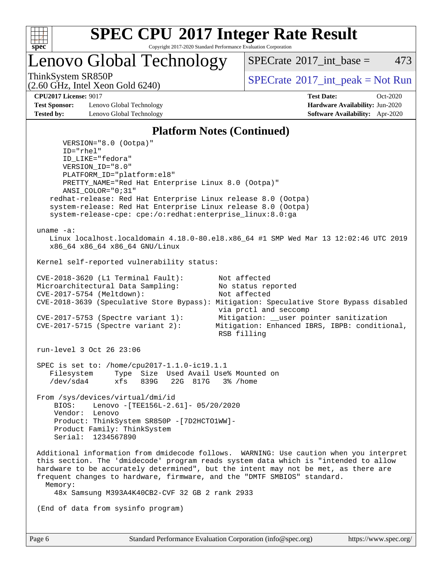

Copyright 2017-2020 Standard Performance Evaluation Corporation

Lenovo Global Technology

 $SPECTate^{\circ}2017$  int base = 473

(2.60 GHz, Intel Xeon Gold 6240)

ThinkSystem SR850P<br>  $\begin{array}{c}\n\text{SPECTI}_2 \text{ Intel } \text{Y}_2 \text{ son } \text{Cold } \text{6240}\n\end{array}$  [SPECrate](http://www.spec.org/auto/cpu2017/Docs/result-fields.html#SPECrate2017intpeak)®[2017\\_int\\_peak = N](http://www.spec.org/auto/cpu2017/Docs/result-fields.html#SPECrate2017intpeak)ot Run

**[CPU2017 License:](http://www.spec.org/auto/cpu2017/Docs/result-fields.html#CPU2017License)** 9017 **[Test Date:](http://www.spec.org/auto/cpu2017/Docs/result-fields.html#TestDate)** Oct-2020

**[Test Sponsor:](http://www.spec.org/auto/cpu2017/Docs/result-fields.html#TestSponsor)** Lenovo Global Technology **[Hardware Availability:](http://www.spec.org/auto/cpu2017/Docs/result-fields.html#HardwareAvailability)** Jun-2020 **[Tested by:](http://www.spec.org/auto/cpu2017/Docs/result-fields.html#Testedby)** Lenovo Global Technology **[Software Availability:](http://www.spec.org/auto/cpu2017/Docs/result-fields.html#SoftwareAvailability)** Apr-2020

#### **[Platform Notes \(Continued\)](http://www.spec.org/auto/cpu2017/Docs/result-fields.html#PlatformNotes)**

 VERSION="8.0 (Ootpa)" ID="rhel" ID\_LIKE="fedora" VERSION\_ID="8.0" PLATFORM\_ID="platform:el8" PRETTY\_NAME="Red Hat Enterprise Linux 8.0 (Ootpa)" ANSI\_COLOR="0;31" redhat-release: Red Hat Enterprise Linux release 8.0 (Ootpa) system-release: Red Hat Enterprise Linux release 8.0 (Ootpa) system-release-cpe: cpe:/o:redhat:enterprise\_linux:8.0:ga uname -a: Linux localhost.localdomain 4.18.0-80.el8.x86\_64 #1 SMP Wed Mar 13 12:02:46 UTC 2019 x86\_64 x86\_64 x86\_64 GNU/Linux Kernel self-reported vulnerability status: CVE-2018-3620 (L1 Terminal Fault): Not affected Microarchitectural Data Sampling: No status reported<br>CVE-2017-5754 (Meltdown): Not affected  $CVE-2017-5754$  (Meltdown): CVE-2018-3639 (Speculative Store Bypass): Mitigation: Speculative Store Bypass disabled via prctl and seccomp CVE-2017-5753 (Spectre variant 1): Mitigation: \_\_user pointer sanitization<br>CVE-2017-5715 (Spectre variant 2): Mitigation: Enhanced IBRS, IBPB: condition Mitigation: Enhanced IBRS, IBPB: conditional, RSB filling run-level 3 Oct 26 23:06 SPEC is set to: /home/cpu2017-1.1.0-ic19.1.1 Filesystem Type Size Used Avail Use% Mounted on /dev/sda4 xfs 839G 22G 817G 3% /home From /sys/devices/virtual/dmi/id BIOS: Lenovo -[TEE156L-2.61]- 05/20/2020 Vendor: Lenovo Product: ThinkSystem SR850P -[7D2HCTO1WW]- Product Family: ThinkSystem Serial: 1234567890 Additional information from dmidecode follows. WARNING: Use caution when you interpret this section. The 'dmidecode' program reads system data which is "intended to allow hardware to be accurately determined", but the intent may not be met, as there are frequent changes to hardware, firmware, and the "DMTF SMBIOS" standard. Memory: 48x Samsung M393A4K40CB2-CVF 32 GB 2 rank 2933 (End of data from sysinfo program)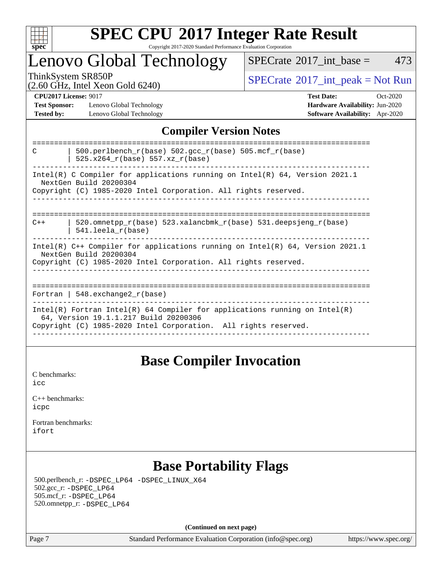

#### **[SPEC CPU](http://www.spec.org/auto/cpu2017/Docs/result-fields.html#SPECCPU2017IntegerRateResult)[2017 Integer Rate Result](http://www.spec.org/auto/cpu2017/Docs/result-fields.html#SPECCPU2017IntegerRateResult)** Copyright 2017-2020 Standard Performance Evaluation Corporation

## Lenovo Global Technology

 $SPECTate$ <sup>®</sup>[2017\\_int\\_base =](http://www.spec.org/auto/cpu2017/Docs/result-fields.html#SPECrate2017intbase) 473

(2.60 GHz, Intel Xeon Gold 6240)

ThinkSystem SR850P<br>  $\begin{array}{c}\n\text{SPECTB} \\
\text{SPECTB} \\
\text{SPECTB} \\
\text{SPECTB} \\
\text{SPECTB} \\
\text{SPECTB} \\
\text{SPECTB} \\
\text{SPECTB} \\
\text{SPECTB} \\
\text{SPECTB} \\
\text{SPECTB} \\
\text{SPECTB} \\
\text{SPECTB} \\
\text{SPECTB} \\
\text{SPECTB} \\
\text{SPECTB} \\
\text{SPECTB} \\
\text{SPECTB} \\
\text{SPECTB} \\
\text{SPECTB} \\
\text{SPECTB} \\
\text{SPECTB} \\
\text{SISTB} \\
\text{SISTB} \\$ 

**[Test Sponsor:](http://www.spec.org/auto/cpu2017/Docs/result-fields.html#TestSponsor)** Lenovo Global Technology **[Hardware Availability:](http://www.spec.org/auto/cpu2017/Docs/result-fields.html#HardwareAvailability)** Jun-2020 **[Tested by:](http://www.spec.org/auto/cpu2017/Docs/result-fields.html#Testedby)** Lenovo Global Technology **[Software Availability:](http://www.spec.org/auto/cpu2017/Docs/result-fields.html#SoftwareAvailability)** Apr-2020

**[CPU2017 License:](http://www.spec.org/auto/cpu2017/Docs/result-fields.html#CPU2017License)** 9017 **[Test Date:](http://www.spec.org/auto/cpu2017/Docs/result-fields.html#TestDate)** Oct-2020

## **[Compiler Version Notes](http://www.spec.org/auto/cpu2017/Docs/result-fields.html#CompilerVersionNotes)**

| 500.perlbench $r(base)$ 502.qcc $r(base)$ 505.mcf $r(base)$<br>C<br>525.x264 r(base) 557.xz r(base)                                                                                    |  |  |  |  |  |
|----------------------------------------------------------------------------------------------------------------------------------------------------------------------------------------|--|--|--|--|--|
| Intel(R) C Compiler for applications running on Intel(R) $64$ , Version 2021.1<br>NextGen Build 20200304<br>Copyright (C) 1985-2020 Intel Corporation. All rights reserved.            |  |  |  |  |  |
| 520.omnetpp $r(base)$ 523.xalancbmk $r(base)$ 531.deepsjeng $r(base)$<br>$C++$<br>$541.$ leela $r(base)$                                                                               |  |  |  |  |  |
| Intel(R) C++ Compiler for applications running on Intel(R) 64, Version 2021.1<br>NextGen Build 20200304<br>Copyright (C) 1985-2020 Intel Corporation. All rights reserved.             |  |  |  |  |  |
| Fortran   548.exchange2 $r(base)$                                                                                                                                                      |  |  |  |  |  |
| Intel(R) Fortran Intel(R) 64 Compiler for applications running on Intel(R)<br>64, Version 19.1.1.217 Build 20200306<br>Copyright (C) 1985-2020 Intel Corporation. All rights reserved. |  |  |  |  |  |

## **[Base Compiler Invocation](http://www.spec.org/auto/cpu2017/Docs/result-fields.html#BaseCompilerInvocation)**

[C benchmarks](http://www.spec.org/auto/cpu2017/Docs/result-fields.html#Cbenchmarks): [icc](http://www.spec.org/cpu2017/results/res2020q4/cpu2017-20201109-24359.flags.html#user_CCbase_intel_icc_66fc1ee009f7361af1fbd72ca7dcefbb700085f36577c54f309893dd4ec40d12360134090235512931783d35fd58c0460139e722d5067c5574d8eaf2b3e37e92)

| $C_{++}$ benchmarks: |  |
|----------------------|--|
| icpc                 |  |

[Fortran benchmarks](http://www.spec.org/auto/cpu2017/Docs/result-fields.html#Fortranbenchmarks): [ifort](http://www.spec.org/cpu2017/results/res2020q4/cpu2017-20201109-24359.flags.html#user_FCbase_intel_ifort_8111460550e3ca792625aed983ce982f94888b8b503583aa7ba2b8303487b4d8a21a13e7191a45c5fd58ff318f48f9492884d4413fa793fd88dd292cad7027ca)

## **[Base Portability Flags](http://www.spec.org/auto/cpu2017/Docs/result-fields.html#BasePortabilityFlags)**

 500.perlbench\_r: [-DSPEC\\_LP64](http://www.spec.org/cpu2017/results/res2020q4/cpu2017-20201109-24359.flags.html#b500.perlbench_r_basePORTABILITY_DSPEC_LP64) [-DSPEC\\_LINUX\\_X64](http://www.spec.org/cpu2017/results/res2020q4/cpu2017-20201109-24359.flags.html#b500.perlbench_r_baseCPORTABILITY_DSPEC_LINUX_X64) 502.gcc\_r: [-DSPEC\\_LP64](http://www.spec.org/cpu2017/results/res2020q4/cpu2017-20201109-24359.flags.html#suite_basePORTABILITY502_gcc_r_DSPEC_LP64) 505.mcf\_r: [-DSPEC\\_LP64](http://www.spec.org/cpu2017/results/res2020q4/cpu2017-20201109-24359.flags.html#suite_basePORTABILITY505_mcf_r_DSPEC_LP64) 520.omnetpp\_r: [-DSPEC\\_LP64](http://www.spec.org/cpu2017/results/res2020q4/cpu2017-20201109-24359.flags.html#suite_basePORTABILITY520_omnetpp_r_DSPEC_LP64)

**(Continued on next page)**

Page 7 Standard Performance Evaluation Corporation [\(info@spec.org\)](mailto:info@spec.org) <https://www.spec.org/>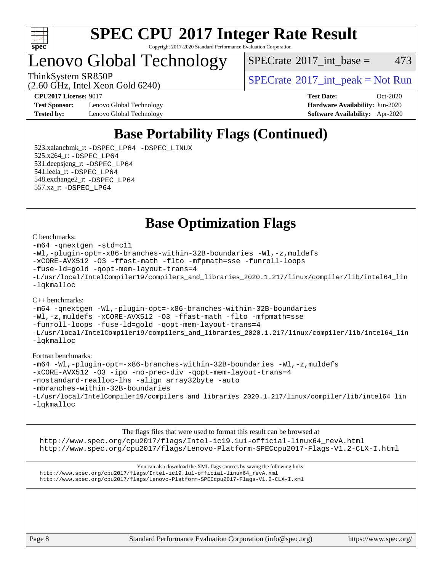

#### **[SPEC CPU](http://www.spec.org/auto/cpu2017/Docs/result-fields.html#SPECCPU2017IntegerRateResult)[2017 Integer Rate Result](http://www.spec.org/auto/cpu2017/Docs/result-fields.html#SPECCPU2017IntegerRateResult)** Copyright 2017-2020 Standard Performance Evaluation Corporation

## Lenovo Global Technology

(2.60 GHz, Intel Xeon Gold 6240)

 $SPECTate$ <sup>®</sup>[2017\\_int\\_base =](http://www.spec.org/auto/cpu2017/Docs/result-fields.html#SPECrate2017intbase) 473

ThinkSystem SR850P<br>  $\begin{array}{c}\n\text{SPECTI}_2 \text{ Intel } \text{Y}_2 \text{ son } \text{Cold } \text{6240}\n\end{array}$  [SPECrate](http://www.spec.org/auto/cpu2017/Docs/result-fields.html#SPECrate2017intpeak)®[2017\\_int\\_peak = N](http://www.spec.org/auto/cpu2017/Docs/result-fields.html#SPECrate2017intpeak)ot Run

**[Test Sponsor:](http://www.spec.org/auto/cpu2017/Docs/result-fields.html#TestSponsor)** Lenovo Global Technology **[Hardware Availability:](http://www.spec.org/auto/cpu2017/Docs/result-fields.html#HardwareAvailability)** Jun-2020 **[Tested by:](http://www.spec.org/auto/cpu2017/Docs/result-fields.html#Testedby)** Lenovo Global Technology **[Software Availability:](http://www.spec.org/auto/cpu2017/Docs/result-fields.html#SoftwareAvailability)** Apr-2020

**[CPU2017 License:](http://www.spec.org/auto/cpu2017/Docs/result-fields.html#CPU2017License)** 9017 **[Test Date:](http://www.spec.org/auto/cpu2017/Docs/result-fields.html#TestDate)** Oct-2020

## **[Base Portability Flags \(Continued\)](http://www.spec.org/auto/cpu2017/Docs/result-fields.html#BasePortabilityFlags)**

 523.xalancbmk\_r: [-DSPEC\\_LP64](http://www.spec.org/cpu2017/results/res2020q4/cpu2017-20201109-24359.flags.html#suite_basePORTABILITY523_xalancbmk_r_DSPEC_LP64) [-DSPEC\\_LINUX](http://www.spec.org/cpu2017/results/res2020q4/cpu2017-20201109-24359.flags.html#b523.xalancbmk_r_baseCXXPORTABILITY_DSPEC_LINUX) 525.x264\_r: [-DSPEC\\_LP64](http://www.spec.org/cpu2017/results/res2020q4/cpu2017-20201109-24359.flags.html#suite_basePORTABILITY525_x264_r_DSPEC_LP64) 531.deepsjeng\_r: [-DSPEC\\_LP64](http://www.spec.org/cpu2017/results/res2020q4/cpu2017-20201109-24359.flags.html#suite_basePORTABILITY531_deepsjeng_r_DSPEC_LP64) 541.leela\_r: [-DSPEC\\_LP64](http://www.spec.org/cpu2017/results/res2020q4/cpu2017-20201109-24359.flags.html#suite_basePORTABILITY541_leela_r_DSPEC_LP64) 548.exchange2\_r: [-DSPEC\\_LP64](http://www.spec.org/cpu2017/results/res2020q4/cpu2017-20201109-24359.flags.html#suite_basePORTABILITY548_exchange2_r_DSPEC_LP64) 557.xz\_r: [-DSPEC\\_LP64](http://www.spec.org/cpu2017/results/res2020q4/cpu2017-20201109-24359.flags.html#suite_basePORTABILITY557_xz_r_DSPEC_LP64)

**[Base Optimization Flags](http://www.spec.org/auto/cpu2017/Docs/result-fields.html#BaseOptimizationFlags)**

#### [C benchmarks](http://www.spec.org/auto/cpu2017/Docs/result-fields.html#Cbenchmarks):

```
-m64 -qnextgen -std=c11
-Wl,-plugin-opt=-x86-branches-within-32B-boundaries -Wl,-z,muldefs
-xCORE-AVX512 -O3 -ffast-math -flto -mfpmath=sse -funroll-loops
-fuse-ld=gold -qopt-mem-layout-trans=4
-L/usr/local/IntelCompiler19/compilers_and_libraries_2020.1.217/linux/compiler/lib/intel64_lin
-lqkmalloc
```
#### [C++ benchmarks](http://www.spec.org/auto/cpu2017/Docs/result-fields.html#CXXbenchmarks):

```
-m64 -qnextgen -Wl,-plugin-opt=-x86-branches-within-32B-boundaries
-Wl,-z,muldefs -xCORE-AVX512 -O3 -ffast-math -flto -mfpmath=sse
-funroll-loops -fuse-ld=gold -qopt-mem-layout-trans=4
-L/usr/local/IntelCompiler19/compilers_and_libraries_2020.1.217/linux/compiler/lib/intel64_lin
-lqkmalloc
```
#### [Fortran benchmarks:](http://www.spec.org/auto/cpu2017/Docs/result-fields.html#Fortranbenchmarks)

```
-m64 -Wl,-plugin-opt=-x86-branches-within-32B-boundaries -Wl,-z,muldefs
-xCORE-AVX512 -O3 -ipo -no-prec-div -qopt-mem-layout-trans=4
-nostandard-realloc-lhs -align array32byte -auto
-mbranches-within-32B-boundaries
-L/usr/local/IntelCompiler19/compilers_and_libraries_2020.1.217/linux/compiler/lib/intel64_lin
-lqkmalloc
```
[The flags files that were used to format this result can be browsed at](tmsearch) [http://www.spec.org/cpu2017/flags/Intel-ic19.1u1-official-linux64\\_revA.html](http://www.spec.org/cpu2017/flags/Intel-ic19.1u1-official-linux64_revA.html) <http://www.spec.org/cpu2017/flags/Lenovo-Platform-SPECcpu2017-Flags-V1.2-CLX-I.html>

[You can also download the XML flags sources by saving the following links:](tmsearch) [http://www.spec.org/cpu2017/flags/Intel-ic19.1u1-official-linux64\\_revA.xml](http://www.spec.org/cpu2017/flags/Intel-ic19.1u1-official-linux64_revA.xml) <http://www.spec.org/cpu2017/flags/Lenovo-Platform-SPECcpu2017-Flags-V1.2-CLX-I.xml>